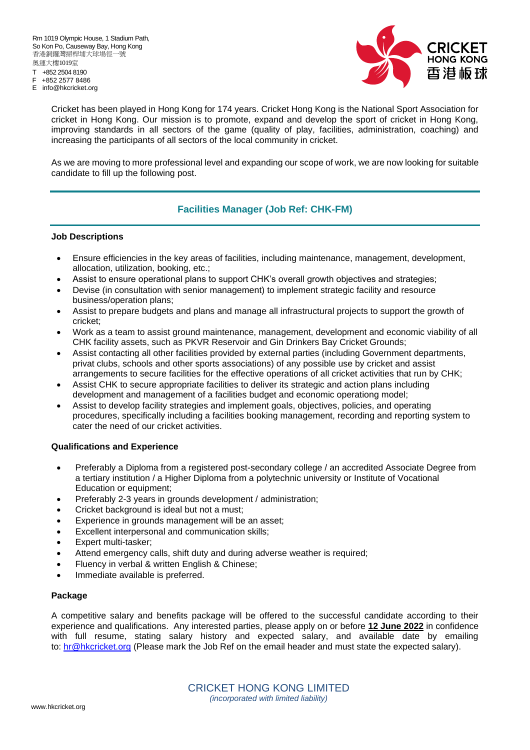T +852 2504 8190

- +852 2577 8486
- E info@hkcricket.org



Cricket has been played in Hong Kong for 174 years. Cricket Hong Kong is the National Sport Association for cricket in Hong Kong. Our mission is to promote, expand and develop the sport of cricket in Hong Kong, improving standards in all sectors of the game (quality of play, facilities, administration, coaching) and increasing the participants of all sectors of the local community in cricket.

As we are moving to more professional level and expanding our scope of work, we are now looking for suitable candidate to fill up the following post.

## **Facilities Manager (Job Ref: CHK-FM)**

## **Job Descriptions**

- Ensure efficiencies in the key areas of facilities, including maintenance, management, development, allocation, utilization, booking, etc.;
- Assist to ensure operational plans to support CHK's overall growth objectives and strategies;
- Devise (in consultation with senior management) to implement strategic facility and resource business/operation plans;
- Assist to prepare budgets and plans and manage all infrastructural projects to support the growth of cricket;
- Work as a team to assist ground maintenance, management, development and economic viability of all CHK facility assets, such as PKVR Reservoir and Gin Drinkers Bay Cricket Grounds;
- Assist contacting all other facilities provided by external parties (including Government departments, privat clubs, schools and other sports associations) of any possible use by cricket and assist arrangements to secure facilities for the effective operations of all cricket activities that run by CHK;
- Assist CHK to secure appropriate facilities to deliver its strategic and action plans including development and management of a facilities budget and economic operationg model;
- Assist to develop facility strategies and implement goals, objectives, policies, and operating procedures, specifically including a facilities booking management, recording and reporting system to cater the need of our cricket activities.

## **Qualifications and Experience**

- Preferably a Diploma from a registered post-secondary college / an accredited Associate Degree from a tertiary institution / a Higher Diploma from a polytechnic university or Institute of Vocational Education or equipment;
- Preferably 2-3 years in grounds development / administration;
- Cricket background is ideal but not a must;
- Experience in grounds management will be an asset;
- Excellent interpersonal and communication skills;
- Expert multi-tasker;
- Attend emergency calls, shift duty and during adverse weather is required;
- Fluency in verbal & written English & Chinese;
- Immediate available is preferred.

## **Package**

A competitive salary and benefits package will be offered to the successful candidate according to their experience and qualifications. Any interested parties, please apply on or before **12 June 2022** in confidence with full resume, stating salary history and expected salary, and available date by emailing to: [hr@hkcricket.org](mailto:hr@hkcricket.org) (Please mark the Job Ref on the email header and must state the expected salary).